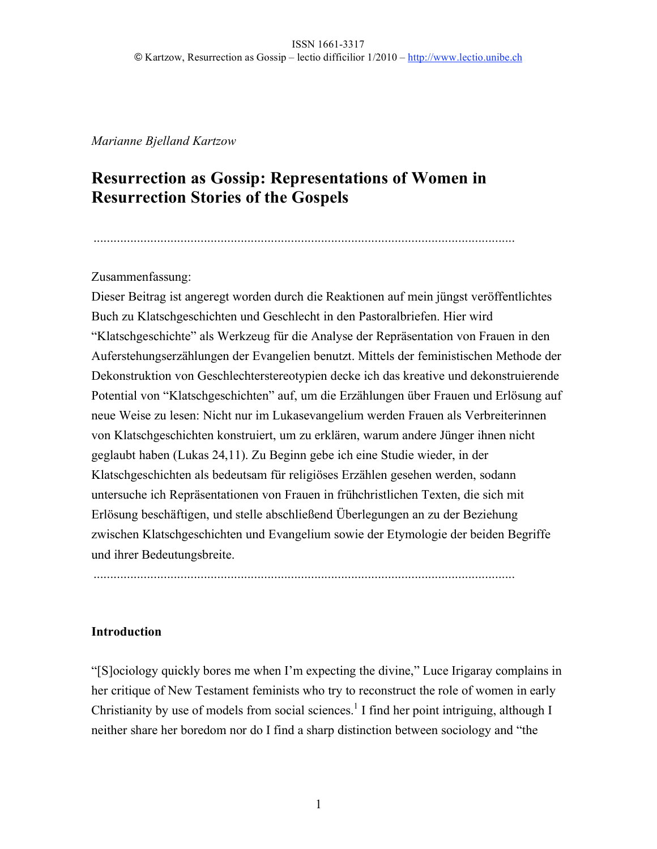#### *Marianne Bjelland Kartzow*

# **Resurrection as Gossip: Representations of Women in Resurrection Stories of the Gospels**

..............................................................................................................................

# Zusammenfassung:

Dieser Beitrag ist angeregt worden durch die Reaktionen auf mein jüngst veröffentlichtes Buch zu Klatschgeschichten und Geschlecht in den Pastoralbriefen. Hier wird "Klatschgeschichte" als Werkzeug für die Analyse der Repräsentation von Frauen in den Auferstehungserzählungen der Evangelien benutzt. Mittels der feministischen Methode der Dekonstruktion von Geschlechterstereotypien decke ich das kreative und dekonstruierende Potential von "Klatschgeschichten" auf, um die Erzählungen über Frauen und Erlösung auf neue Weise zu lesen: Nicht nur im Lukasevangelium werden Frauen als Verbreiterinnen von Klatschgeschichten konstruiert, um zu erklären, warum andere Jünger ihnen nicht geglaubt haben (Lukas 24,11). Zu Beginn gebe ich eine Studie wieder, in der Klatschgeschichten als bedeutsam für religiöses Erzählen gesehen werden, sodann untersuche ich Repräsentationen von Frauen in frühchristlichen Texten, die sich mit Erlösung beschäftigen, und stelle abschließend Überlegungen an zu der Beziehung zwischen Klatschgeschichten und Evangelium sowie der Etymologie der beiden Begriffe und ihrer Bedeutungsbreite.

# **Introduction**

"[S]ociology quickly bores me when I'm expecting the divine," Luce Irigaray complains in her critique of New Testament feminists who try to reconstruct the role of women in early Christianity by use of models from social sciences.<sup>1</sup> I find her point intriguing, although I neither share her boredom nor do I find a sharp distinction between sociology and "the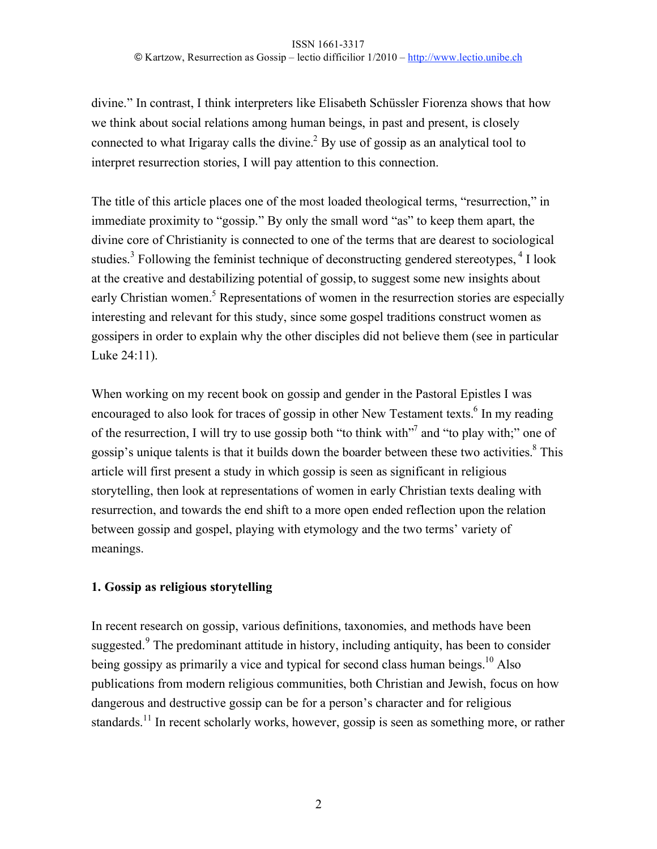divine." In contrast, I think interpreters like Elisabeth Schüssler Fiorenza shows that how we think about social relations among human beings, in past and present, is closely connected to what Irigaray calls the divine. $^{2}$  By use of gossip as an analytical tool to interpret resurrection stories, I will pay attention to this connection.

The title of this article places one of the most loaded theological terms, "resurrection," in immediate proximity to "gossip." By only the small word "as" to keep them apart, the divine core of Christianity is connected to one of the terms that are dearest to sociological studies.<sup>3</sup> Following the feminist technique of deconstructing gendered stereotypes,  $4$  I look at the creative and destabilizing potential of gossip, to suggest some new insights about early Christian women.<sup>5</sup> Representations of women in the resurrection stories are especially interesting and relevant for this study, since some gospel traditions construct women as gossipers in order to explain why the other disciples did not believe them (see in particular Luke 24:11).

When working on my recent book on gossip and gender in the Pastoral Epistles I was encouraged to also look for traces of gossip in other New Testament texts.<sup>6</sup> In my reading of the resurrection, I will try to use gossip both "to think with"<sup>7</sup> and "to play with;" one of gossip's unique talents is that it builds down the boarder between these two activities.<sup>8</sup> This article will first present a study in which gossip is seen as significant in religious storytelling, then look at representations of women in early Christian texts dealing with resurrection, and towards the end shift to a more open ended reflection upon the relation between gossip and gospel, playing with etymology and the two terms' variety of meanings.

# **1. Gossip as religious storytelling**

In recent research on gossip, various definitions, taxonomies, and methods have been suggested.<sup>9</sup> The predominant attitude in history, including antiquity, has been to consider being gossipy as primarily a vice and typical for second class human beings.<sup>10</sup> Also publications from modern religious communities, both Christian and Jewish, focus on how dangerous and destructive gossip can be for a person's character and for religious standards.<sup>11</sup> In recent scholarly works, however, gossip is seen as something more, or rather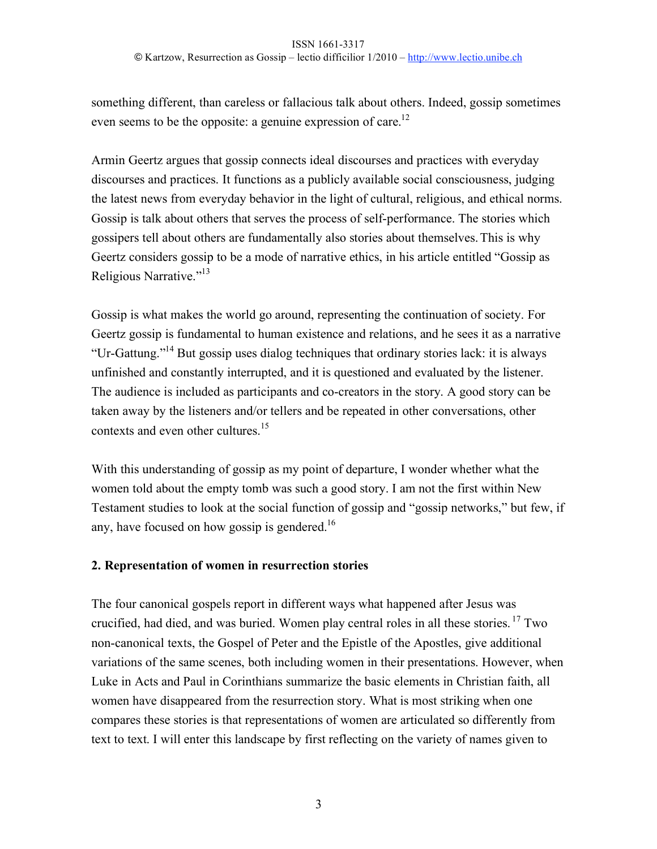something different, than careless or fallacious talk about others. Indeed, gossip sometimes even seems to be the opposite: a genuine expression of care.<sup>12</sup>

Armin Geertz argues that gossip connects ideal discourses and practices with everyday discourses and practices. It functions as a publicly available social consciousness, judging the latest news from everyday behavior in the light of cultural, religious, and ethical norms. Gossip is talk about others that serves the process of self-performance. The stories which gossipers tell about others are fundamentally also stories about themselves.This is why Geertz considers gossip to be a mode of narrative ethics, in his article entitled "Gossip as Religious Narrative."13

Gossip is what makes the world go around, representing the continuation of society. For Geertz gossip is fundamental to human existence and relations, and he sees it as a narrative "Ur-Gattung."14 But gossip uses dialog techniques that ordinary stories lack: it is always unfinished and constantly interrupted, and it is questioned and evaluated by the listener. The audience is included as participants and co-creators in the story. A good story can be taken away by the listeners and/or tellers and be repeated in other conversations, other contexts and even other cultures.<sup>15</sup>

With this understanding of gossip as my point of departure, I wonder whether what the women told about the empty tomb was such a good story. I am not the first within New Testament studies to look at the social function of gossip and "gossip networks," but few, if any, have focused on how gossip is gendered.<sup>16</sup>

# **2. Representation of women in resurrection stories**

The four canonical gospels report in different ways what happened after Jesus was crucified, had died, and was buried. Women play central roles in all these stories. 17 Two non-canonical texts, the Gospel of Peter and the Epistle of the Apostles, give additional variations of the same scenes, both including women in their presentations. However, when Luke in Acts and Paul in Corinthians summarize the basic elements in Christian faith, all women have disappeared from the resurrection story. What is most striking when one compares these stories is that representations of women are articulated so differently from text to text. I will enter this landscape by first reflecting on the variety of names given to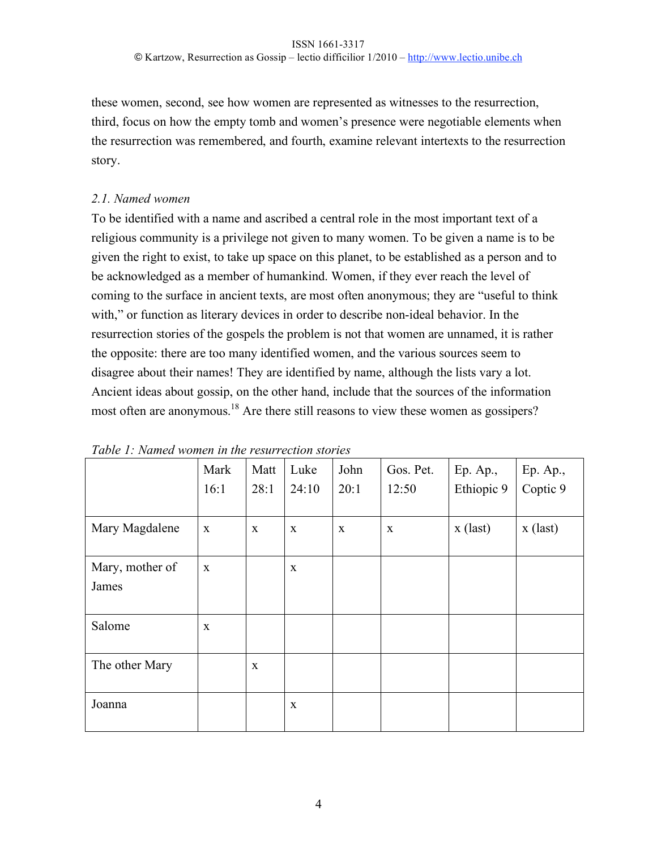these women, second, see how women are represented as witnesses to the resurrection, third, focus on how the empty tomb and women's presence were negotiable elements when the resurrection was remembered, and fourth, examine relevant intertexts to the resurrection story.

#### *2.1. Named women*

To be identified with a name and ascribed a central role in the most important text of a religious community is a privilege not given to many women. To be given a name is to be given the right to exist, to take up space on this planet, to be established as a person and to be acknowledged as a member of humankind. Women, if they ever reach the level of coming to the surface in ancient texts, are most often anonymous; they are "useful to think with," or function as literary devices in order to describe non-ideal behavior. In the resurrection stories of the gospels the problem is not that women are unnamed, it is rather the opposite: there are too many identified women, and the various sources seem to disagree about their names! They are identified by name, although the lists vary a lot. Ancient ideas about gossip, on the other hand, include that the sources of the information most often are anonymous.<sup>18</sup> Are there still reasons to view these women as gossipers?

|                          | Mark<br>16:1 | Matt<br>28:1 | Luke<br>24:10 | John<br>20:1 | Gos. Pet.<br>12:50 | Ep. Ap.,<br>Ethiopic 9 | Ep. Ap.,<br>Coptic 9 |
|--------------------------|--------------|--------------|---------------|--------------|--------------------|------------------------|----------------------|
| Mary Magdalene           | X            | $\mathbf{X}$ | X             | X            | $\mathbf X$        | $x$ (last)             | $x$ (last)           |
| Mary, mother of<br>James | $\mathbf{X}$ |              | $\mathbf{X}$  |              |                    |                        |                      |
| Salome                   | X            |              |               |              |                    |                        |                      |
| The other Mary           |              | $\mathbf{X}$ |               |              |                    |                        |                      |
| Joanna                   |              |              | $\mathbf{X}$  |              |                    |                        |                      |

*Table 1: Named women in the resurrection stories*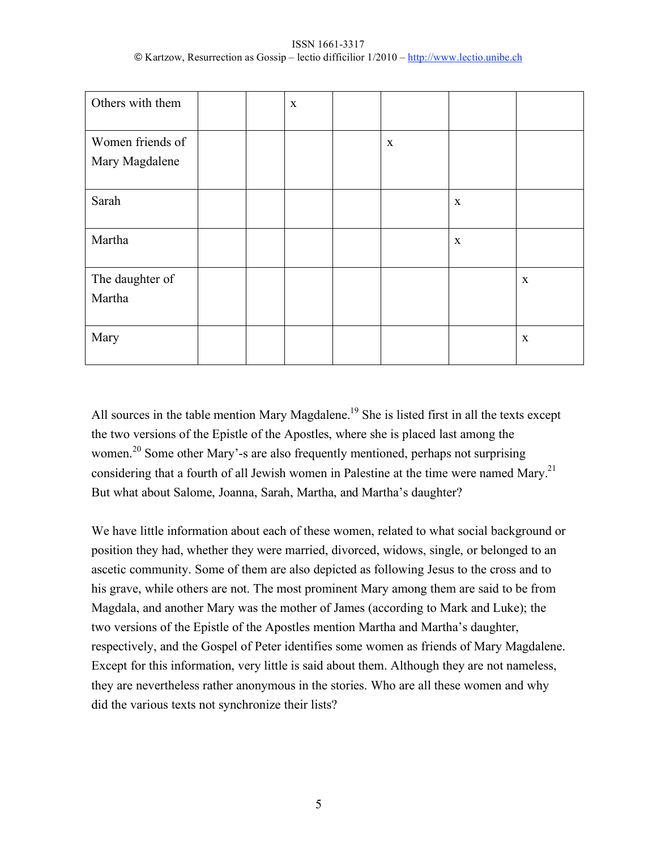| ISSN 1661-3317                                                                             |  |
|--------------------------------------------------------------------------------------------|--|
| © Kartzow, Resurrection as Gossip – lectio difficilior 1/2010 – http://www.lectio.unibe.ch |  |

| Others with them                   |  | $\mathbf X$ |             |             |             |
|------------------------------------|--|-------------|-------------|-------------|-------------|
| Women friends of<br>Mary Magdalene |  |             | $\mathbf X$ |             |             |
| Sarah                              |  |             |             | $\mathbf X$ |             |
| Martha                             |  |             |             | $\mathbf X$ |             |
| The daughter of<br>Martha          |  |             |             |             | $\mathbf X$ |
| Mary                               |  |             |             |             | $\mathbf X$ |

All sources in the table mention Mary Magdalene.<sup>19</sup> She is listed first in all the texts except the two versions of the Epistle of the Apostles, where she is placed last among the women.<sup>20</sup> Some other Mary'-s are also frequently mentioned, perhaps not surprising considering that a fourth of all Jewish women in Palestine at the time were named Mary.<sup>21</sup> But what about Salome, Joanna, Sarah, Martha, and Martha's daughter?

We have little information about each of these women, related to what social background or position they had, whether they were married, divorced, widows, single, or belonged to an ascetic community. Some of them are also depicted as following Jesus to the cross and to his grave, while others are not. The most prominent Mary among them are said to be from Magdala, and another Mary was the mother of James (according to Mark and Luke); the two versions of the Epistle of the Apostles mention Martha and Martha's daughter, respectively, and the Gospel of Peter identifies some women as friends of Mary Magdalene. Except for this information, very little is said about them. Although they are not nameless, they are nevertheless rather anonymous in the stories. Who are all these women and why did the various texts not synchronize their lists?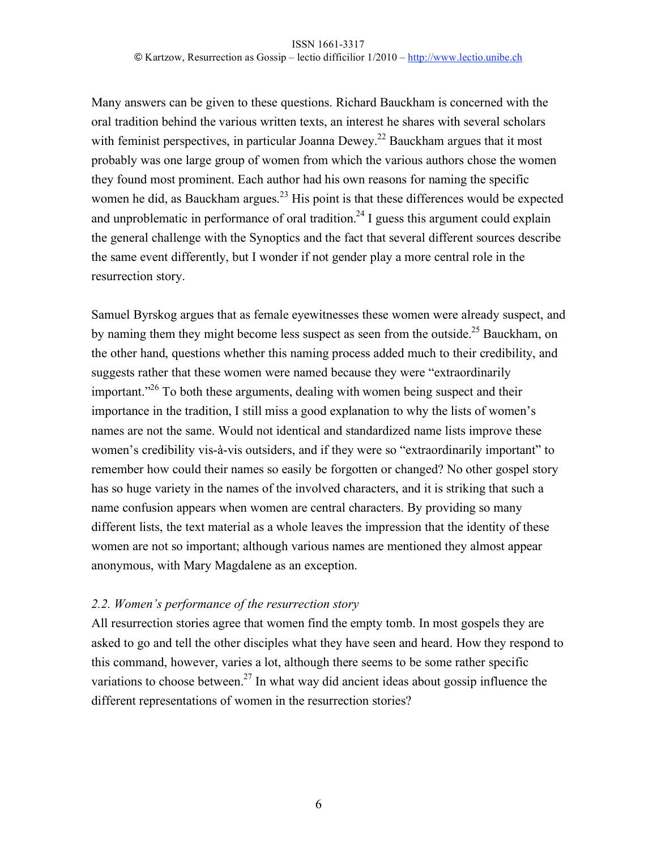Many answers can be given to these questions. Richard Bauckham is concerned with the oral tradition behind the various written texts, an interest he shares with several scholars with feminist perspectives, in particular Joanna Dewey.<sup>22</sup> Bauckham argues that it most probably was one large group of women from which the various authors chose the women they found most prominent. Each author had his own reasons for naming the specific women he did, as Bauckham argues.<sup>23</sup> His point is that these differences would be expected and unproblematic in performance of oral tradition.<sup>24</sup> I guess this argument could explain the general challenge with the Synoptics and the fact that several different sources describe the same event differently, but I wonder if not gender play a more central role in the resurrection story.

Samuel Byrskog argues that as female eyewitnesses these women were already suspect, and by naming them they might become less suspect as seen from the outside.<sup>25</sup> Bauckham, on the other hand, questions whether this naming process added much to their credibility, and suggests rather that these women were named because they were "extraordinarily important."<sup>26</sup> To both these arguments, dealing with women being suspect and their importance in the tradition, I still miss a good explanation to why the lists of women's names are not the same. Would not identical and standardized name lists improve these women's credibility vis-à-vis outsiders, and if they were so "extraordinarily important" to remember how could their names so easily be forgotten or changed? No other gospel story has so huge variety in the names of the involved characters, and it is striking that such a name confusion appears when women are central characters. By providing so many different lists, the text material as a whole leaves the impression that the identity of these women are not so important; although various names are mentioned they almost appear anonymous, with Mary Magdalene as an exception.

# *2.2. Women's performance of the resurrection story*

All resurrection stories agree that women find the empty tomb. In most gospels they are asked to go and tell the other disciples what they have seen and heard. How they respond to this command, however, varies a lot, although there seems to be some rather specific variations to choose between.<sup>27</sup> In what way did ancient ideas about gossip influence the different representations of women in the resurrection stories?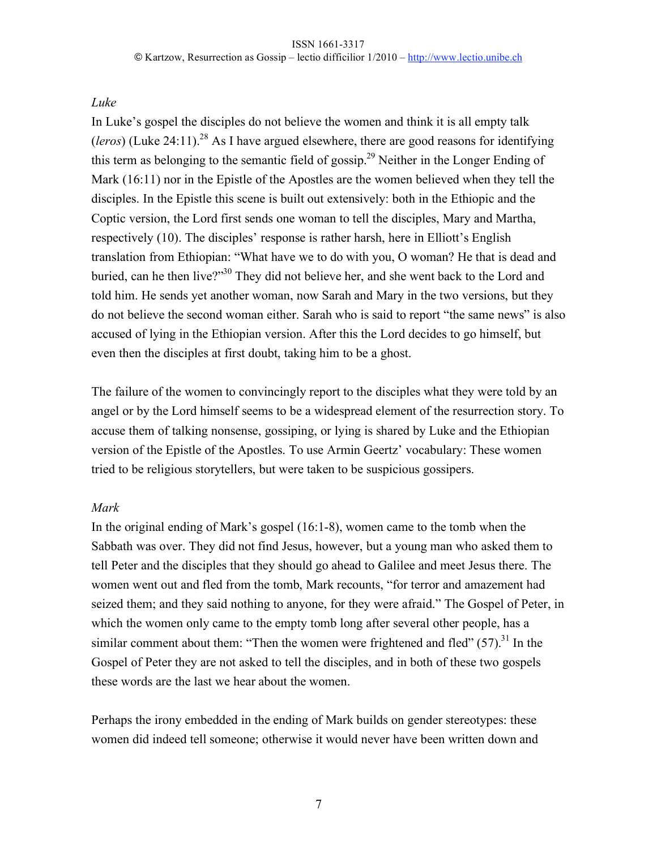# *Luke*

In Luke's gospel the disciples do not believe the women and think it is all empty talk (*leros*) (Luke 24:11).<sup>28</sup> As I have argued elsewhere, there are good reasons for identifying this term as belonging to the semantic field of gossip.29 Neither in the Longer Ending of Mark (16:11) nor in the Epistle of the Apostles are the women believed when they tell the disciples. In the Epistle this scene is built out extensively: both in the Ethiopic and the Coptic version, the Lord first sends one woman to tell the disciples, Mary and Martha, respectively (10). The disciples' response is rather harsh, here in Elliott's English translation from Ethiopian: "What have we to do with you, O woman? He that is dead and buried, can he then live?"30 They did not believe her, and she went back to the Lord and told him. He sends yet another woman, now Sarah and Mary in the two versions, but they do not believe the second woman either. Sarah who is said to report "the same news" is also accused of lying in the Ethiopian version. After this the Lord decides to go himself, but even then the disciples at first doubt, taking him to be a ghost.

The failure of the women to convincingly report to the disciples what they were told by an angel or by the Lord himself seems to be a widespread element of the resurrection story. To accuse them of talking nonsense, gossiping, or lying is shared by Luke and the Ethiopian version of the Epistle of the Apostles. To use Armin Geertz' vocabulary: These women tried to be religious storytellers, but were taken to be suspicious gossipers.

# *Mark*

In the original ending of Mark's gospel (16:1-8), women came to the tomb when the Sabbath was over. They did not find Jesus, however, but a young man who asked them to tell Peter and the disciples that they should go ahead to Galilee and meet Jesus there. The women went out and fled from the tomb, Mark recounts, "for terror and amazement had seized them; and they said nothing to anyone, for they were afraid." The Gospel of Peter, in which the women only came to the empty tomb long after several other people, has a similar comment about them: "Then the women were frightened and fled"  $(57)$ .<sup>31</sup> In the Gospel of Peter they are not asked to tell the disciples, and in both of these two gospels these words are the last we hear about the women.

Perhaps the irony embedded in the ending of Mark builds on gender stereotypes: these women did indeed tell someone; otherwise it would never have been written down and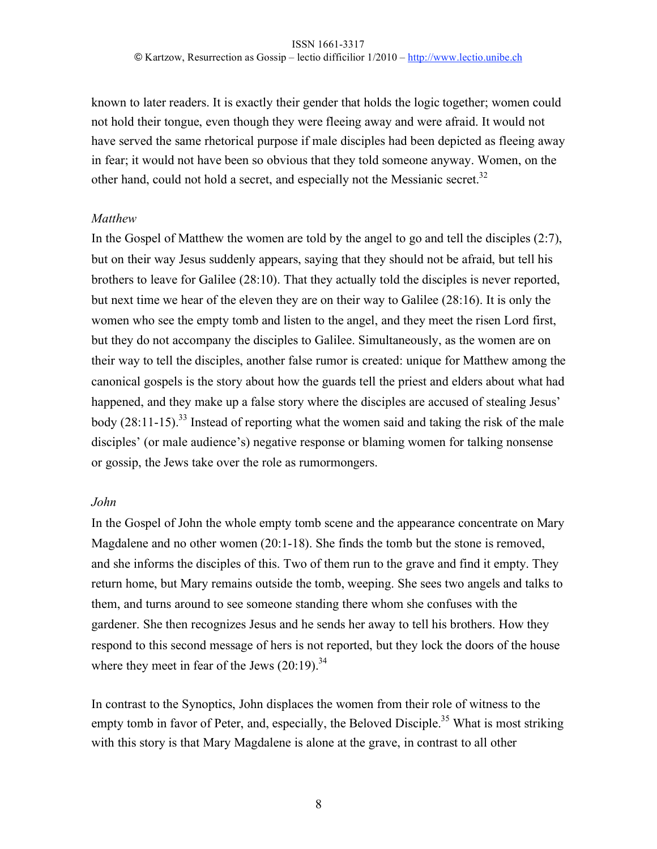known to later readers. It is exactly their gender that holds the logic together; women could not hold their tongue, even though they were fleeing away and were afraid. It would not have served the same rhetorical purpose if male disciples had been depicted as fleeing away in fear; it would not have been so obvious that they told someone anyway. Women, on the other hand, could not hold a secret, and especially not the Messianic secret.<sup>32</sup>

#### *Matthew*

In the Gospel of Matthew the women are told by the angel to go and tell the disciples (2:7), but on their way Jesus suddenly appears, saying that they should not be afraid, but tell his brothers to leave for Galilee (28:10). That they actually told the disciples is never reported, but next time we hear of the eleven they are on their way to Galilee (28:16). It is only the women who see the empty tomb and listen to the angel, and they meet the risen Lord first, but they do not accompany the disciples to Galilee. Simultaneously, as the women are on their way to tell the disciples, another false rumor is created: unique for Matthew among the canonical gospels is the story about how the guards tell the priest and elders about what had happened, and they make up a false story where the disciples are accused of stealing Jesus' body  $(28:11-15)$ .<sup>33</sup> Instead of reporting what the women said and taking the risk of the male disciples' (or male audience's) negative response or blaming women for talking nonsense or gossip, the Jews take over the role as rumormongers.

# *John*

In the Gospel of John the whole empty tomb scene and the appearance concentrate on Mary Magdalene and no other women (20:1-18). She finds the tomb but the stone is removed, and she informs the disciples of this. Two of them run to the grave and find it empty. They return home, but Mary remains outside the tomb, weeping. She sees two angels and talks to them, and turns around to see someone standing there whom she confuses with the gardener. She then recognizes Jesus and he sends her away to tell his brothers. How they respond to this second message of hers is not reported, but they lock the doors of the house where they meet in fear of the Jews  $(20.19)^{34}$ 

In contrast to the Synoptics, John displaces the women from their role of witness to the empty tomb in favor of Peter, and, especially, the Beloved Disciple.<sup>35</sup> What is most striking with this story is that Mary Magdalene is alone at the grave, in contrast to all other

8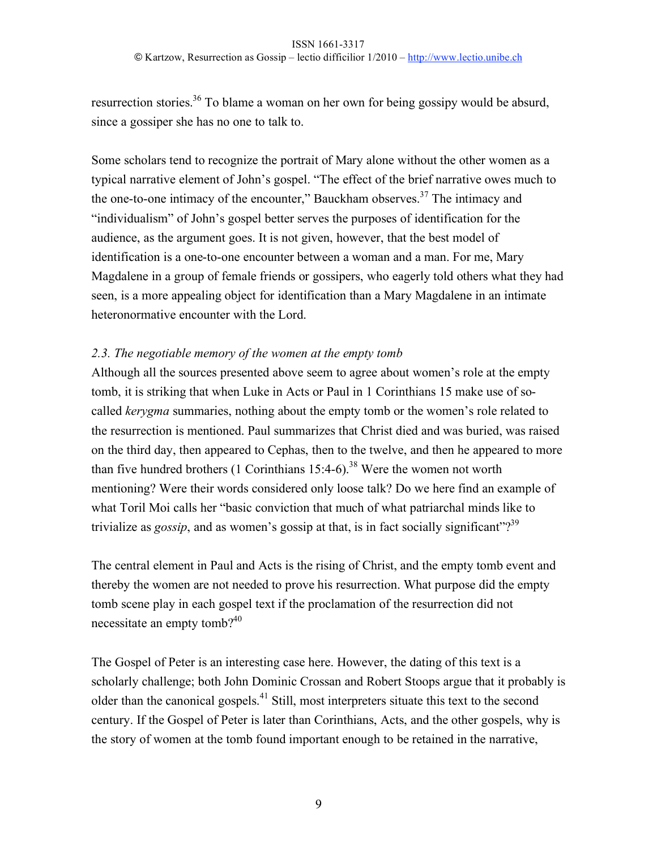resurrection stories.<sup>36</sup> To blame a woman on her own for being gossipy would be absurd, since a gossiper she has no one to talk to.

Some scholars tend to recognize the portrait of Mary alone without the other women as a typical narrative element of John's gospel. "The effect of the brief narrative owes much to the one-to-one intimacy of the encounter," Bauckham observes.<sup>37</sup> The intimacy and "individualism" of John's gospel better serves the purposes of identification for the audience, as the argument goes. It is not given, however, that the best model of identification is a one-to-one encounter between a woman and a man. For me, Mary Magdalene in a group of female friends or gossipers, who eagerly told others what they had seen, is a more appealing object for identification than a Mary Magdalene in an intimate heteronormative encounter with the Lord.

# *2.3. The negotiable memory of the women at the empty tomb*

Although all the sources presented above seem to agree about women's role at the empty tomb, it is striking that when Luke in Acts or Paul in 1 Corinthians 15 make use of socalled *kerygma* summaries, nothing about the empty tomb or the women's role related to the resurrection is mentioned. Paul summarizes that Christ died and was buried, was raised on the third day, then appeared to Cephas, then to the twelve, and then he appeared to more than five hundred brothers (1 Corinthians  $15:4-6$ ).<sup>38</sup> Were the women not worth mentioning? Were their words considered only loose talk? Do we here find an example of what Toril Moi calls her "basic conviction that much of what patriarchal minds like to trivialize as *gossip*, and as women's gossip at that, is in fact socially significant"?<sup>39</sup>

The central element in Paul and Acts is the rising of Christ, and the empty tomb event and thereby the women are not needed to prove his resurrection. What purpose did the empty tomb scene play in each gospel text if the proclamation of the resurrection did not necessitate an empty tomb?<sup>40</sup>

The Gospel of Peter is an interesting case here. However, the dating of this text is a scholarly challenge; both John Dominic Crossan and Robert Stoops argue that it probably is older than the canonical gospels.41 Still, most interpreters situate this text to the second century. If the Gospel of Peter is later than Corinthians, Acts, and the other gospels, why is the story of women at the tomb found important enough to be retained in the narrative,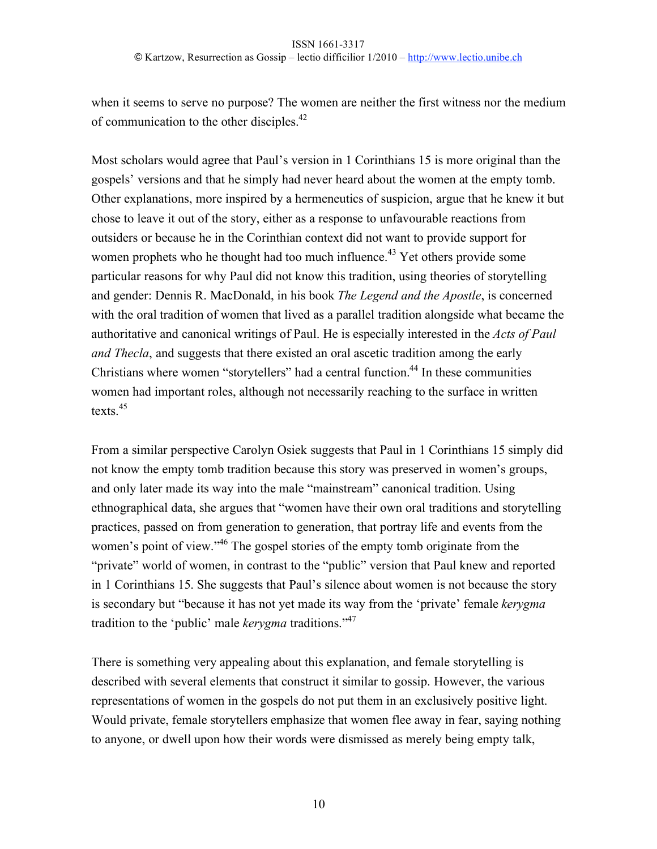when it seems to serve no purpose? The women are neither the first witness nor the medium of communication to the other disciples.42

Most scholars would agree that Paul's version in 1 Corinthians 15 is more original than the gospels' versions and that he simply had never heard about the women at the empty tomb. Other explanations, more inspired by a hermeneutics of suspicion, argue that he knew it but chose to leave it out of the story, either as a response to unfavourable reactions from outsiders or because he in the Corinthian context did not want to provide support for women prophets who he thought had too much influence.<sup>43</sup> Yet others provide some particular reasons for why Paul did not know this tradition, using theories of storytelling and gender: Dennis R. MacDonald, in his book *The Legend and the Apostle*, is concerned with the oral tradition of women that lived as a parallel tradition alongside what became the authoritative and canonical writings of Paul. He is especially interested in the *Acts of Paul and Thecla*, and suggests that there existed an oral ascetic tradition among the early Christians where women "storytellers" had a central function.<sup>44</sup> In these communities women had important roles, although not necessarily reaching to the surface in written texts.<sup>45</sup>

From a similar perspective Carolyn Osiek suggests that Paul in 1 Corinthians 15 simply did not know the empty tomb tradition because this story was preserved in women's groups, and only later made its way into the male "mainstream" canonical tradition. Using ethnographical data, she argues that "women have their own oral traditions and storytelling practices, passed on from generation to generation, that portray life and events from the women's point of view.<sup>346</sup> The gospel stories of the empty tomb originate from the "private" world of women, in contrast to the "public" version that Paul knew and reported in 1 Corinthians 15. She suggests that Paul's silence about women is not because the story is secondary but "because it has not yet made its way from the 'private' female *kerygma* tradition to the 'public' male *kerygma* traditions."47

There is something very appealing about this explanation, and female storytelling is described with several elements that construct it similar to gossip. However, the various representations of women in the gospels do not put them in an exclusively positive light. Would private, female storytellers emphasize that women flee away in fear, saying nothing to anyone, or dwell upon how their words were dismissed as merely being empty talk,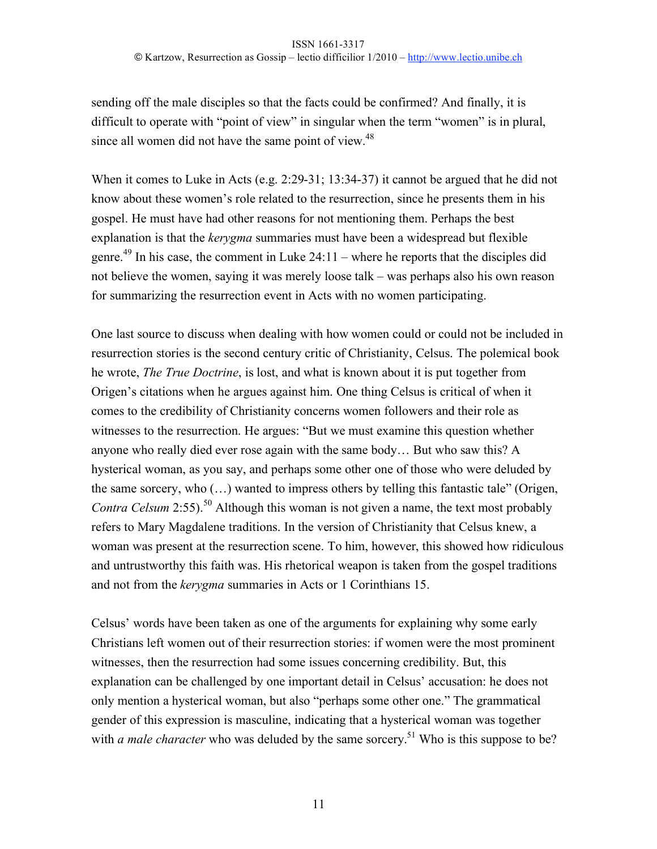sending off the male disciples so that the facts could be confirmed? And finally, it is difficult to operate with "point of view" in singular when the term "women" is in plural, since all women did not have the same point of view.<sup>48</sup>

When it comes to Luke in Acts (e.g. 2:29-31; 13:34-37) it cannot be argued that he did not know about these women's role related to the resurrection, since he presents them in his gospel. He must have had other reasons for not mentioning them. Perhaps the best explanation is that the *kerygma* summaries must have been a widespread but flexible genre.<sup>49</sup> In his case, the comment in Luke  $24:11$  – where he reports that the disciples did not believe the women, saying it was merely loose talk – was perhaps also his own reason for summarizing the resurrection event in Acts with no women participating.

One last source to discuss when dealing with how women could or could not be included in resurrection stories is the second century critic of Christianity, Celsus. The polemical book he wrote, *The True Doctrine*, is lost, and what is known about it is put together from Origen's citations when he argues against him. One thing Celsus is critical of when it comes to the credibility of Christianity concerns women followers and their role as witnesses to the resurrection. He argues: "But we must examine this question whether anyone who really died ever rose again with the same body… But who saw this? A hysterical woman, as you say, and perhaps some other one of those who were deluded by the same sorcery, who (…) wanted to impress others by telling this fantastic tale" (Origen, *Contra Celsum* 2:55).<sup>50</sup> Although this woman is not given a name, the text most probably refers to Mary Magdalene traditions. In the version of Christianity that Celsus knew, a woman was present at the resurrection scene. To him, however, this showed how ridiculous and untrustworthy this faith was. His rhetorical weapon is taken from the gospel traditions and not from the *kerygma* summaries in Acts or 1 Corinthians 15.

Celsus' words have been taken as one of the arguments for explaining why some early Christians left women out of their resurrection stories: if women were the most prominent witnesses, then the resurrection had some issues concerning credibility. But, this explanation can be challenged by one important detail in Celsus' accusation: he does not only mention a hysterical woman, but also "perhaps some other one." The grammatical gender of this expression is masculine, indicating that a hysterical woman was together with *a male character* who was deluded by the same sorcery.<sup>51</sup> Who is this suppose to be?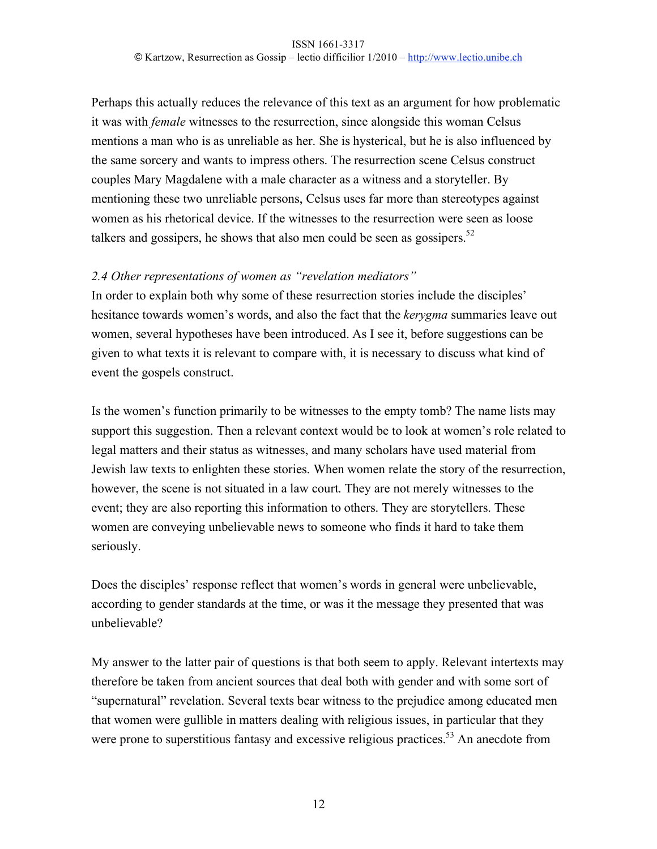Perhaps this actually reduces the relevance of this text as an argument for how problematic it was with *female* witnesses to the resurrection, since alongside this woman Celsus mentions a man who is as unreliable as her. She is hysterical, but he is also influenced by the same sorcery and wants to impress others. The resurrection scene Celsus construct couples Mary Magdalene with a male character as a witness and a storyteller. By mentioning these two unreliable persons, Celsus uses far more than stereotypes against women as his rhetorical device. If the witnesses to the resurrection were seen as loose talkers and gossipers, he shows that also men could be seen as gossipers.<sup>52</sup>

# *2.4 Other representations of women as "revelation mediators"*

In order to explain both why some of these resurrection stories include the disciples' hesitance towards women's words, and also the fact that the *kerygma* summaries leave out women, several hypotheses have been introduced. As I see it, before suggestions can be given to what texts it is relevant to compare with, it is necessary to discuss what kind of event the gospels construct.

Is the women's function primarily to be witnesses to the empty tomb? The name lists may support this suggestion. Then a relevant context would be to look at women's role related to legal matters and their status as witnesses, and many scholars have used material from Jewish law texts to enlighten these stories. When women relate the story of the resurrection, however, the scene is not situated in a law court. They are not merely witnesses to the event; they are also reporting this information to others. They are storytellers. These women are conveying unbelievable news to someone who finds it hard to take them seriously.

Does the disciples' response reflect that women's words in general were unbelievable, according to gender standards at the time, or was it the message they presented that was unbelievable?

My answer to the latter pair of questions is that both seem to apply. Relevant intertexts may therefore be taken from ancient sources that deal both with gender and with some sort of "supernatural" revelation. Several texts bear witness to the prejudice among educated men that women were gullible in matters dealing with religious issues, in particular that they were prone to superstitious fantasy and excessive religious practices.<sup>53</sup> An anecdote from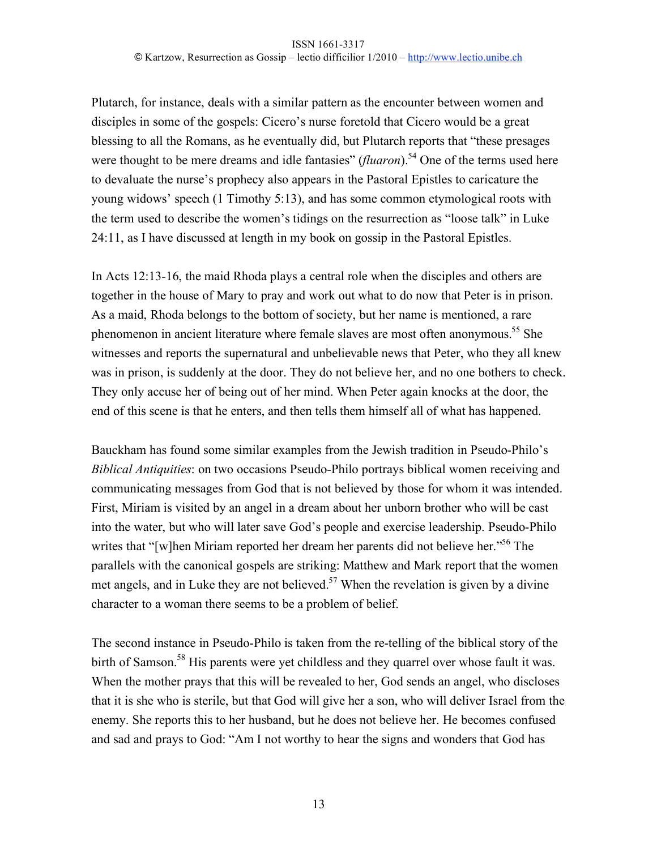Plutarch, for instance, deals with a similar pattern as the encounter between women and disciples in some of the gospels: Cicero's nurse foretold that Cicero would be a great blessing to all the Romans, as he eventually did, but Plutarch reports that "these presages were thought to be mere dreams and idle fantasies" *(fluaron*).<sup>54</sup> One of the terms used here to devaluate the nurse's prophecy also appears in the Pastoral Epistles to caricature the young widows' speech (1 Timothy 5:13), and has some common etymological roots with the term used to describe the women's tidings on the resurrection as "loose talk" in Luke 24:11, as I have discussed at length in my book on gossip in the Pastoral Epistles.

In Acts 12:13-16, the maid Rhoda plays a central role when the disciples and others are together in the house of Mary to pray and work out what to do now that Peter is in prison. As a maid, Rhoda belongs to the bottom of society, but her name is mentioned, a rare phenomenon in ancient literature where female slaves are most often anonymous.<sup>55</sup> She witnesses and reports the supernatural and unbelievable news that Peter, who they all knew was in prison, is suddenly at the door. They do not believe her, and no one bothers to check. They only accuse her of being out of her mind. When Peter again knocks at the door, the end of this scene is that he enters, and then tells them himself all of what has happened.

Bauckham has found some similar examples from the Jewish tradition in Pseudo-Philo's *Biblical Antiquities*: on two occasions Pseudo-Philo portrays biblical women receiving and communicating messages from God that is not believed by those for whom it was intended. First, Miriam is visited by an angel in a dream about her unborn brother who will be cast into the water, but who will later save God's people and exercise leadership. Pseudo-Philo writes that "[w]hen Miriam reported her dream her parents did not believe her."56 The parallels with the canonical gospels are striking: Matthew and Mark report that the women met angels, and in Luke they are not believed.<sup>57</sup> When the revelation is given by a divine character to a woman there seems to be a problem of belief.

The second instance in Pseudo-Philo is taken from the re-telling of the biblical story of the birth of Samson.<sup>58</sup> His parents were yet childless and they quarrel over whose fault it was. When the mother prays that this will be revealed to her, God sends an angel, who discloses that it is she who is sterile, but that God will give her a son, who will deliver Israel from the enemy. She reports this to her husband, but he does not believe her. He becomes confused and sad and prays to God: "Am I not worthy to hear the signs and wonders that God has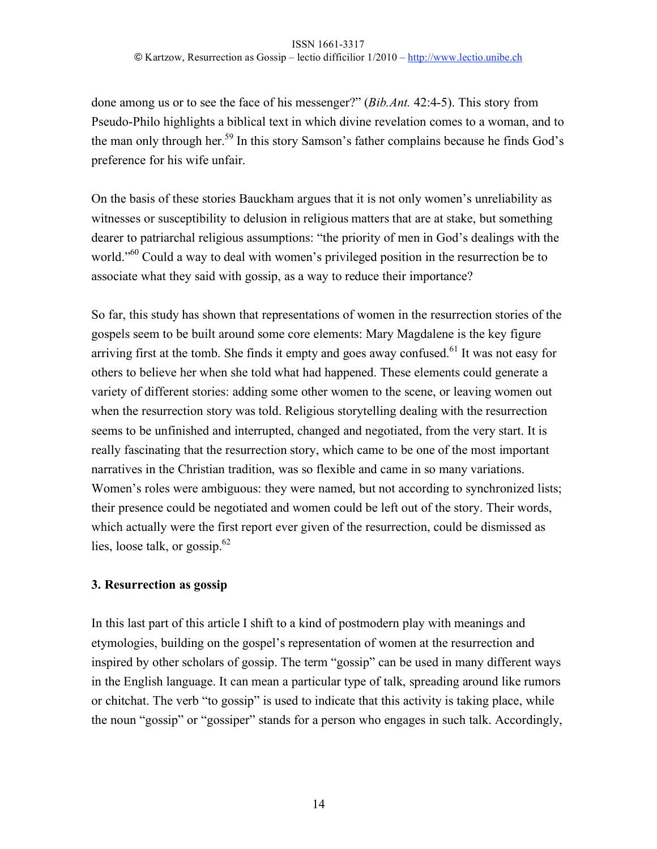done among us or to see the face of his messenger?" (*Bib.Ant.* 42:4-5). This story from Pseudo-Philo highlights a biblical text in which divine revelation comes to a woman, and to the man only through her.<sup>59</sup> In this story Samson's father complains because he finds God's preference for his wife unfair.

On the basis of these stories Bauckham argues that it is not only women's unreliability as witnesses or susceptibility to delusion in religious matters that are at stake, but something dearer to patriarchal religious assumptions: "the priority of men in God's dealings with the world.<sup>"60</sup> Could a way to deal with women's privileged position in the resurrection be to associate what they said with gossip, as a way to reduce their importance?

So far, this study has shown that representations of women in the resurrection stories of the gospels seem to be built around some core elements: Mary Magdalene is the key figure arriving first at the tomb. She finds it empty and goes away confused.<sup>61</sup> It was not easy for others to believe her when she told what had happened. These elements could generate a variety of different stories: adding some other women to the scene, or leaving women out when the resurrection story was told. Religious storytelling dealing with the resurrection seems to be unfinished and interrupted, changed and negotiated, from the very start. It is really fascinating that the resurrection story, which came to be one of the most important narratives in the Christian tradition, was so flexible and came in so many variations. Women's roles were ambiguous: they were named, but not according to synchronized lists; their presence could be negotiated and women could be left out of the story. Their words, which actually were the first report ever given of the resurrection, could be dismissed as lies, loose talk, or gossip. $62$ 

# **3. Resurrection as gossip**

In this last part of this article I shift to a kind of postmodern play with meanings and etymologies, building on the gospel's representation of women at the resurrection and inspired by other scholars of gossip. The term "gossip" can be used in many different ways in the English language. It can mean a particular type of talk, spreading around like rumors or chitchat. The verb "to gossip" is used to indicate that this activity is taking place, while the noun "gossip" or "gossiper" stands for a person who engages in such talk. Accordingly,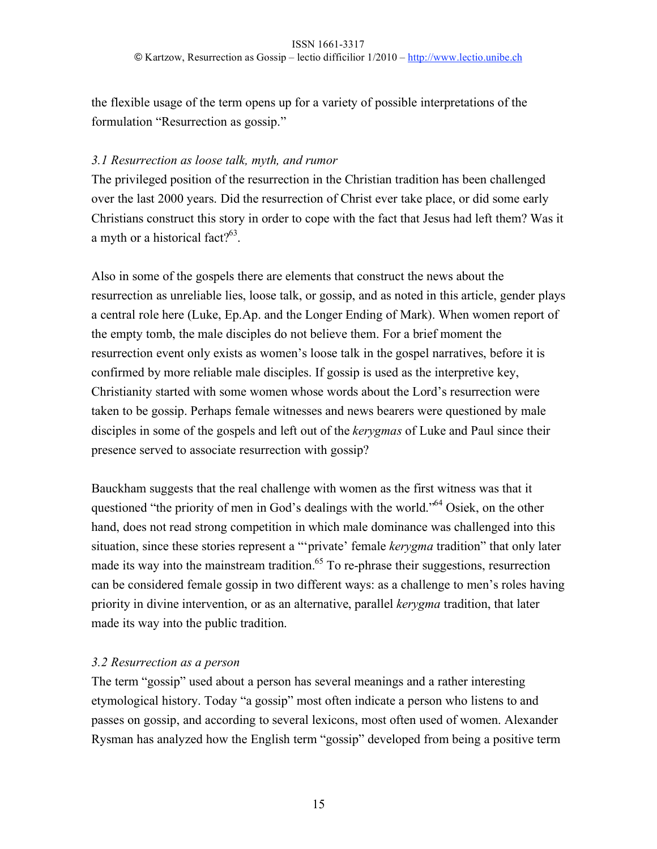the flexible usage of the term opens up for a variety of possible interpretations of the formulation "Resurrection as gossip."

#### *3.1 Resurrection as loose talk, myth, and rumor*

The privileged position of the resurrection in the Christian tradition has been challenged over the last 2000 years. Did the resurrection of Christ ever take place, or did some early Christians construct this story in order to cope with the fact that Jesus had left them? Was it a myth or a historical fact?<sup>63</sup>.

Also in some of the gospels there are elements that construct the news about the resurrection as unreliable lies, loose talk, or gossip, and as noted in this article, gender plays a central role here (Luke, Ep.Ap. and the Longer Ending of Mark). When women report of the empty tomb, the male disciples do not believe them. For a brief moment the resurrection event only exists as women's loose talk in the gospel narratives, before it is confirmed by more reliable male disciples. If gossip is used as the interpretive key, Christianity started with some women whose words about the Lord's resurrection were taken to be gossip. Perhaps female witnesses and news bearers were questioned by male disciples in some of the gospels and left out of the *kerygmas* of Luke and Paul since their presence served to associate resurrection with gossip?

Bauckham suggests that the real challenge with women as the first witness was that it questioned "the priority of men in God's dealings with the world."<sup>64</sup> Osiek, on the other hand, does not read strong competition in which male dominance was challenged into this situation, since these stories represent a "'private' female *kerygma* tradition" that only later made its way into the mainstream tradition.<sup>65</sup> To re-phrase their suggestions, resurrection can be considered female gossip in two different ways: as a challenge to men's roles having priority in divine intervention, or as an alternative, parallel *kerygma* tradition, that later made its way into the public tradition.

#### *3.2 Resurrection as a person*

The term "gossip" used about a person has several meanings and a rather interesting etymological history. Today "a gossip" most often indicate a person who listens to and passes on gossip, and according to several lexicons, most often used of women. Alexander Rysman has analyzed how the English term "gossip" developed from being a positive term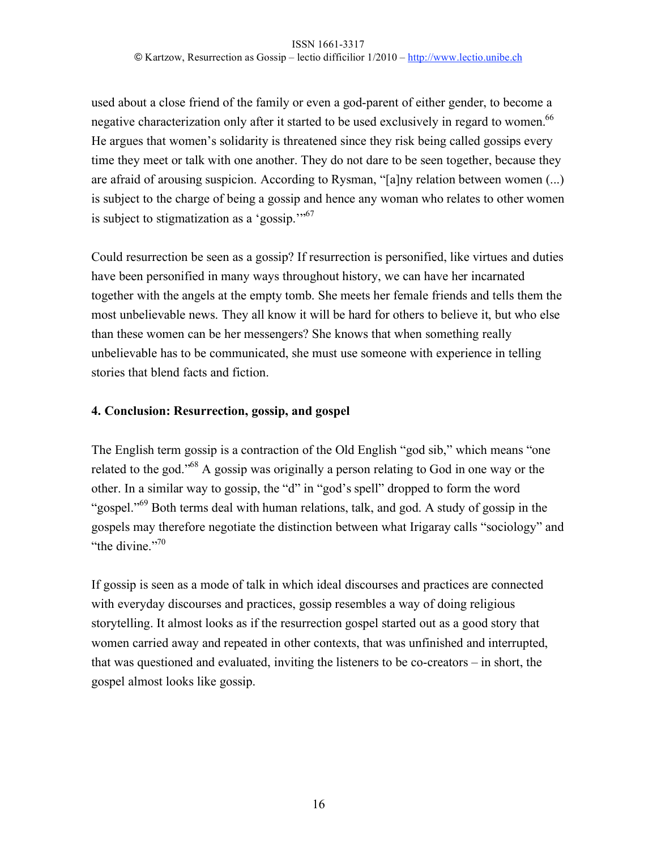used about a close friend of the family or even a god-parent of either gender, to become a negative characterization only after it started to be used exclusively in regard to women.<sup>66</sup> He argues that women's solidarity is threatened since they risk being called gossips every time they meet or talk with one another. They do not dare to be seen together, because they are afraid of arousing suspicion. According to Rysman, "[a]ny relation between women (...) is subject to the charge of being a gossip and hence any woman who relates to other women is subject to stigmatization as a 'gossip.'"67

Could resurrection be seen as a gossip? If resurrection is personified, like virtues and duties have been personified in many ways throughout history, we can have her incarnated together with the angels at the empty tomb. She meets her female friends and tells them the most unbelievable news. They all know it will be hard for others to believe it, but who else than these women can be her messengers? She knows that when something really unbelievable has to be communicated, she must use someone with experience in telling stories that blend facts and fiction.

# **4. Conclusion: Resurrection, gossip, and gospel**

The English term gossip is a contraction of the Old English "god sib," which means "one related to the god."68 A gossip was originally a person relating to God in one way or the other. In a similar way to gossip, the "d" in "god's spell" dropped to form the word "gospel."<sup>69</sup> Both terms deal with human relations, talk, and god. A study of gossip in the gospels may therefore negotiate the distinction between what Irigaray calls "sociology" and "the divine."<sup>70</sup>

If gossip is seen as a mode of talk in which ideal discourses and practices are connected with everyday discourses and practices, gossip resembles a way of doing religious storytelling. It almost looks as if the resurrection gospel started out as a good story that women carried away and repeated in other contexts, that was unfinished and interrupted, that was questioned and evaluated, inviting the listeners to be co-creators – in short, the gospel almost looks like gossip.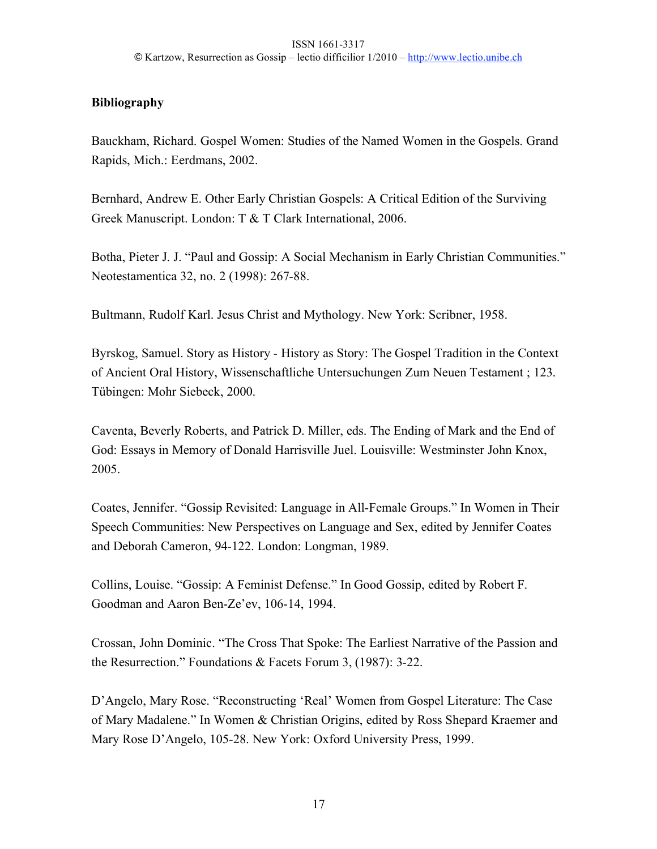# **Bibliography**

Bauckham, Richard. Gospel Women: Studies of the Named Women in the Gospels. Grand Rapids, Mich.: Eerdmans, 2002.

Bernhard, Andrew E. Other Early Christian Gospels: A Critical Edition of the Surviving Greek Manuscript. London: T & T Clark International, 2006.

Botha, Pieter J. J. "Paul and Gossip: A Social Mechanism in Early Christian Communities." Neotestamentica 32, no. 2 (1998): 267-88.

Bultmann, Rudolf Karl. Jesus Christ and Mythology. New York: Scribner, 1958.

Byrskog, Samuel. Story as History - History as Story: The Gospel Tradition in the Context of Ancient Oral History, Wissenschaftliche Untersuchungen Zum Neuen Testament ; 123. Tübingen: Mohr Siebeck, 2000.

Caventa, Beverly Roberts, and Patrick D. Miller, eds. The Ending of Mark and the End of God: Essays in Memory of Donald Harrisville Juel. Louisville: Westminster John Knox, 2005.

Coates, Jennifer. "Gossip Revisited: Language in All-Female Groups." In Women in Their Speech Communities: New Perspectives on Language and Sex, edited by Jennifer Coates and Deborah Cameron, 94-122. London: Longman, 1989.

Collins, Louise. "Gossip: A Feminist Defense." In Good Gossip, edited by Robert F. Goodman and Aaron Ben-Ze'ev, 106-14, 1994.

Crossan, John Dominic. "The Cross That Spoke: The Earliest Narrative of the Passion and the Resurrection." Foundations & Facets Forum 3, (1987): 3-22.

D'Angelo, Mary Rose. "Reconstructing 'Real' Women from Gospel Literature: The Case of Mary Madalene." In Women & Christian Origins, edited by Ross Shepard Kraemer and Mary Rose D'Angelo, 105-28. New York: Oxford University Press, 1999.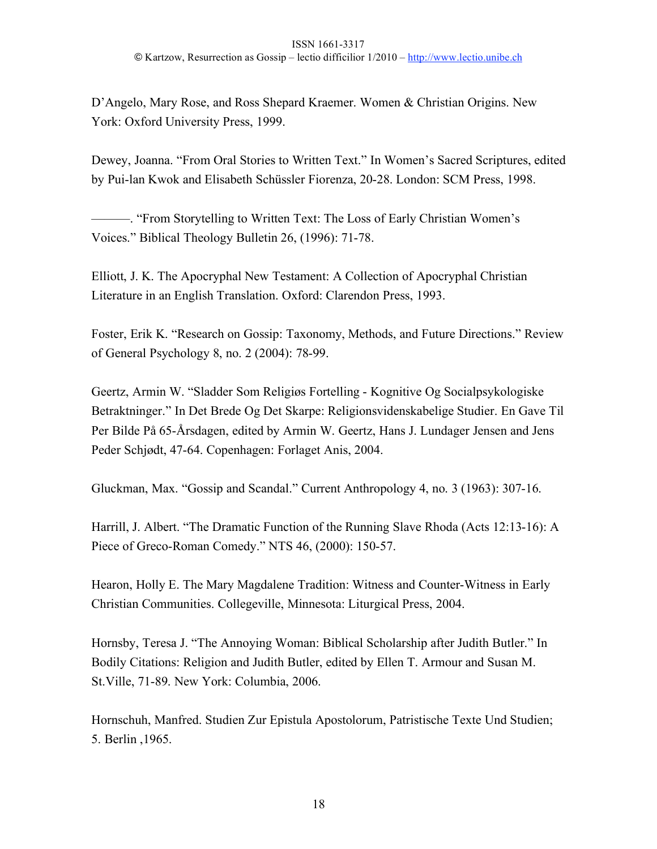D'Angelo, Mary Rose, and Ross Shepard Kraemer. Women & Christian Origins. New York: Oxford University Press, 1999.

Dewey, Joanna. "From Oral Stories to Written Text." In Women's Sacred Scriptures, edited by Pui-lan Kwok and Elisabeth Schüssler Fiorenza, 20-28. London: SCM Press, 1998.

———. "From Storytelling to Written Text: The Loss of Early Christian Women's Voices." Biblical Theology Bulletin 26, (1996): 71-78.

Elliott, J. K. The Apocryphal New Testament: A Collection of Apocryphal Christian Literature in an English Translation. Oxford: Clarendon Press, 1993.

Foster, Erik K. "Research on Gossip: Taxonomy, Methods, and Future Directions." Review of General Psychology 8, no. 2 (2004): 78-99.

Geertz, Armin W. "Sladder Som Religiøs Fortelling - Kognitive Og Socialpsykologiske Betraktninger." In Det Brede Og Det Skarpe: Religionsvidenskabelige Studier. En Gave Til Per Bilde På 65-Årsdagen, edited by Armin W. Geertz, Hans J. Lundager Jensen and Jens Peder Schjødt, 47-64. Copenhagen: Forlaget Anis, 2004.

Gluckman, Max. "Gossip and Scandal." Current Anthropology 4, no. 3 (1963): 307-16.

Harrill, J. Albert. "The Dramatic Function of the Running Slave Rhoda (Acts 12:13-16): A Piece of Greco-Roman Comedy." NTS 46, (2000): 150-57.

Hearon, Holly E. The Mary Magdalene Tradition: Witness and Counter-Witness in Early Christian Communities. Collegeville, Minnesota: Liturgical Press, 2004.

Hornsby, Teresa J. "The Annoying Woman: Biblical Scholarship after Judith Butler." In Bodily Citations: Religion and Judith Butler, edited by Ellen T. Armour and Susan M. St.Ville, 71-89. New York: Columbia, 2006.

Hornschuh, Manfred. Studien Zur Epistula Apostolorum, Patristische Texte Und Studien; 5. Berlin ,1965.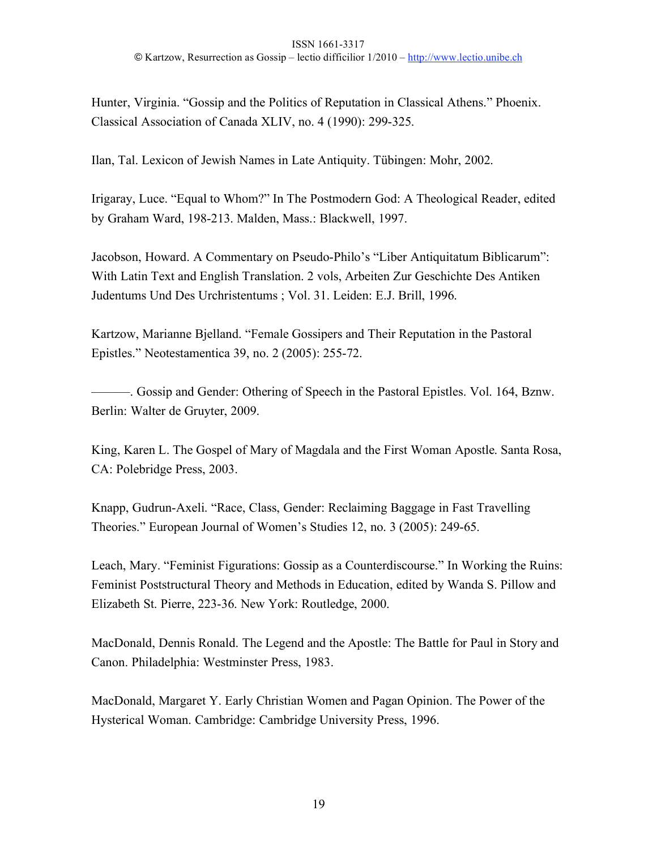Hunter, Virginia. "Gossip and the Politics of Reputation in Classical Athens." Phoenix. Classical Association of Canada XLIV, no. 4 (1990): 299-325.

Ilan, Tal. Lexicon of Jewish Names in Late Antiquity. Tübingen: Mohr, 2002.

Irigaray, Luce. "Equal to Whom?" In The Postmodern God: A Theological Reader, edited by Graham Ward, 198-213. Malden, Mass.: Blackwell, 1997.

Jacobson, Howard. A Commentary on Pseudo-Philo's "Liber Antiquitatum Biblicarum": With Latin Text and English Translation. 2 vols, Arbeiten Zur Geschichte Des Antiken Judentums Und Des Urchristentums ; Vol. 31. Leiden: E.J. Brill, 1996.

Kartzow, Marianne Bjelland. "Female Gossipers and Their Reputation in the Pastoral Epistles." Neotestamentica 39, no. 2 (2005): 255-72.

———. Gossip and Gender: Othering of Speech in the Pastoral Epistles. Vol. 164, Bznw. Berlin: Walter de Gruyter, 2009.

King, Karen L. The Gospel of Mary of Magdala and the First Woman Apostle. Santa Rosa, CA: Polebridge Press, 2003.

Knapp, Gudrun-Axeli. "Race, Class, Gender: Reclaiming Baggage in Fast Travelling Theories." European Journal of Women's Studies 12, no. 3 (2005): 249-65.

Leach, Mary. "Feminist Figurations: Gossip as a Counterdiscourse." In Working the Ruins: Feminist Poststructural Theory and Methods in Education, edited by Wanda S. Pillow and Elizabeth St. Pierre, 223-36. New York: Routledge, 2000.

MacDonald, Dennis Ronald. The Legend and the Apostle: The Battle for Paul in Story and Canon. Philadelphia: Westminster Press, 1983.

MacDonald, Margaret Y. Early Christian Women and Pagan Opinion. The Power of the Hysterical Woman. Cambridge: Cambridge University Press, 1996.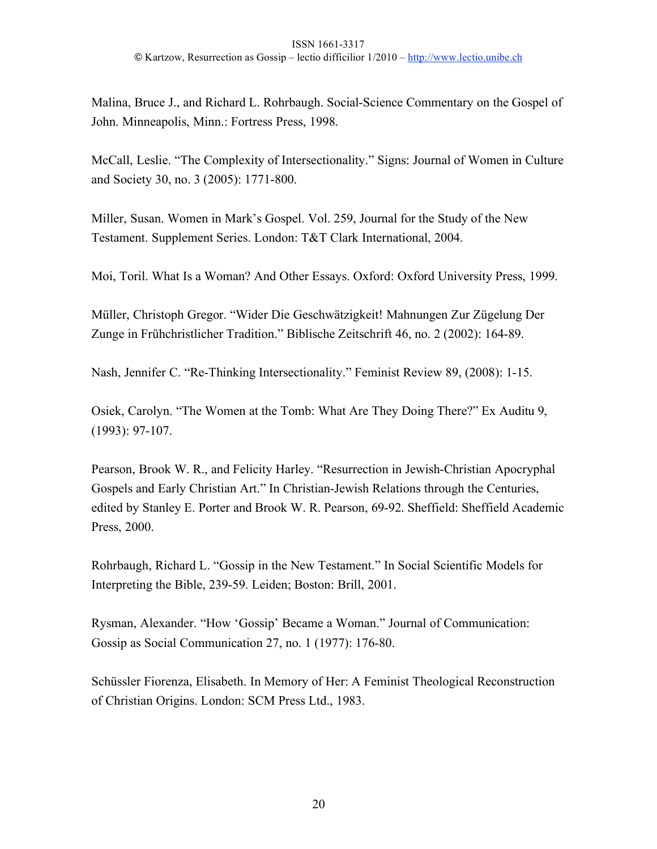Malina, Bruce J., and Richard L. Rohrbaugh. Social-Science Commentary on the Gospel of John. Minneapolis, Minn.: Fortress Press, 1998.

McCall, Leslie. "The Complexity of Intersectionality." Signs: Journal of Women in Culture and Society 30, no. 3 (2005): 1771-800.

Miller, Susan. Women in Mark's Gospel. Vol. 259, Journal for the Study of the New Testament. Supplement Series. London: T&T Clark International, 2004.

Moi, Toril. What Is a Woman? And Other Essays. Oxford: Oxford University Press, 1999.

Müller, Christoph Gregor. "Wider Die Geschwätzigkeit! Mahnungen Zur Zügelung Der Zunge in Frühchristlicher Tradition." Biblische Zeitschrift 46, no. 2 (2002): 164-89.

Nash, Jennifer C. "Re-Thinking Intersectionality." Feminist Review 89, (2008): 1-15.

Osiek, Carolyn. "The Women at the Tomb: What Are They Doing There?" Ex Auditu 9, (1993): 97-107.

Pearson, Brook W. R., and Felicity Harley. "Resurrection in Jewish-Christian Apocryphal Gospels and Early Christian Art." In Christian-Jewish Relations through the Centuries, edited by Stanley E. Porter and Brook W. R. Pearson, 69-92. Sheffield: Sheffield Academic Press, 2000.

Rohrbaugh, Richard L. "Gossip in the New Testament." In Social Scientific Models for Interpreting the Bible, 239-59. Leiden; Boston: Brill, 2001.

Rysman, Alexander. "How 'Gossip' Became a Woman." Journal of Communication: Gossip as Social Communication 27, no. 1 (1977): 176-80.

Schüssler Fiorenza, Elisabeth. In Memory of Her: A Feminist Theological Reconstruction of Christian Origins. London: SCM Press Ltd., 1983.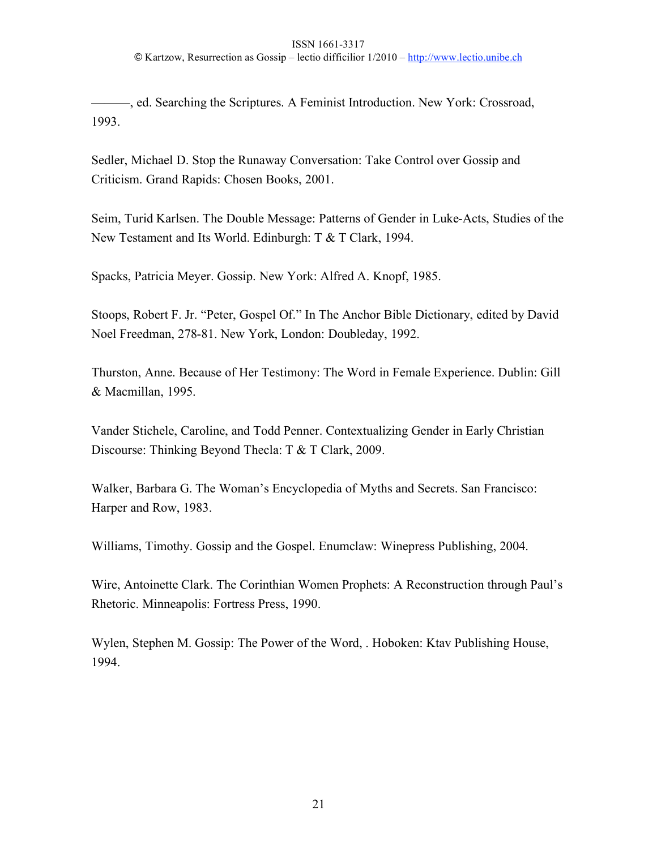———, ed. Searching the Scriptures. A Feminist Introduction. New York: Crossroad, 1993.

Sedler, Michael D. Stop the Runaway Conversation: Take Control over Gossip and Criticism. Grand Rapids: Chosen Books, 2001.

Seim, Turid Karlsen. The Double Message: Patterns of Gender in Luke-Acts, Studies of the New Testament and Its World. Edinburgh: T & T Clark, 1994.

Spacks, Patricia Meyer. Gossip. New York: Alfred A. Knopf, 1985.

Stoops, Robert F. Jr. "Peter, Gospel Of." In The Anchor Bible Dictionary, edited by David Noel Freedman, 278-81. New York, London: Doubleday, 1992.

Thurston, Anne. Because of Her Testimony: The Word in Female Experience. Dublin: Gill & Macmillan, 1995.

Vander Stichele, Caroline, and Todd Penner. Contextualizing Gender in Early Christian Discourse: Thinking Beyond Thecla: T & T Clark, 2009.

Walker, Barbara G. The Woman's Encyclopedia of Myths and Secrets. San Francisco: Harper and Row, 1983.

Williams, Timothy. Gossip and the Gospel. Enumclaw: Winepress Publishing, 2004.

Wire, Antoinette Clark. The Corinthian Women Prophets: A Reconstruction through Paul's Rhetoric. Minneapolis: Fortress Press, 1990.

Wylen, Stephen M. Gossip: The Power of the Word, . Hoboken: Ktav Publishing House, 1994.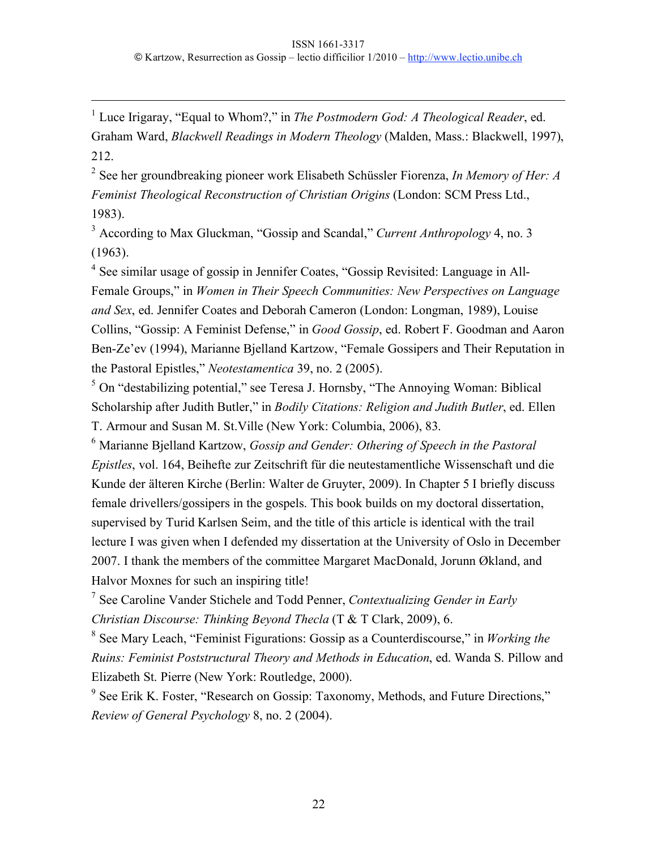1 Luce Irigaray, "Equal to Whom?," in *The Postmodern God: A Theological Reader*, ed. Graham Ward, *Blackwell Readings in Modern Theology* (Malden, Mass.: Blackwell, 1997), 212.

2 See her groundbreaking pioneer work Elisabeth Schüssler Fiorenza, *In Memory of Her: A Feminist Theological Reconstruction of Christian Origins* (London: SCM Press Ltd., 1983).

3 According to Max Gluckman, "Gossip and Scandal," *Current Anthropology* 4, no. 3 (1963).

<sup>4</sup> See similar usage of gossip in Jennifer Coates, "Gossip Revisited: Language in All-Female Groups," in *Women in Their Speech Communities: New Perspectives on Language and Sex*, ed. Jennifer Coates and Deborah Cameron (London: Longman, 1989), Louise Collins, "Gossip: A Feminist Defense," in *Good Gossip*, ed. Robert F. Goodman and Aaron Ben-Ze'ev (1994), Marianne Bjelland Kartzow, "Female Gossipers and Their Reputation in the Pastoral Epistles," *Neotestamentica* 39, no. 2 (2005).

 $<sup>5</sup>$  On "destabilizing potential," see Teresa J. Hornsby, "The Annoying Woman: Biblical</sup> Scholarship after Judith Butler," in *Bodily Citations: Religion and Judith Butler*, ed. Ellen T. Armour and Susan M. St.Ville (New York: Columbia, 2006), 83.

<sup>6</sup> Marianne Bjelland Kartzow, *Gossip and Gender: Othering of Speech in the Pastoral Epistles*, vol. 164, Beihefte zur Zeitschrift für die neutestamentliche Wissenschaft und die Kunde der älteren Kirche (Berlin: Walter de Gruyter, 2009). In Chapter 5 I briefly discuss female drivellers/gossipers in the gospels. This book builds on my doctoral dissertation, supervised by Turid Karlsen Seim, and the title of this article is identical with the trail lecture I was given when I defended my dissertation at the University of Oslo in December 2007. I thank the members of the committee Margaret MacDonald, Jorunn Økland, and Halvor Moxnes for such an inspiring title!

7 See Caroline Vander Stichele and Todd Penner, *Contextualizing Gender in Early Christian Discourse: Thinking Beyond Thecla* (T & T Clark, 2009), 6.

8 See Mary Leach, "Feminist Figurations: Gossip as a Counterdiscourse," in *Working the Ruins: Feminist Poststructural Theory and Methods in Education*, ed. Wanda S. Pillow and Elizabeth St. Pierre (New York: Routledge, 2000).

<sup>9</sup> See Erik K. Foster, "Research on Gossip: Taxonomy, Methods, and Future Directions," *Review of General Psychology* 8, no. 2 (2004).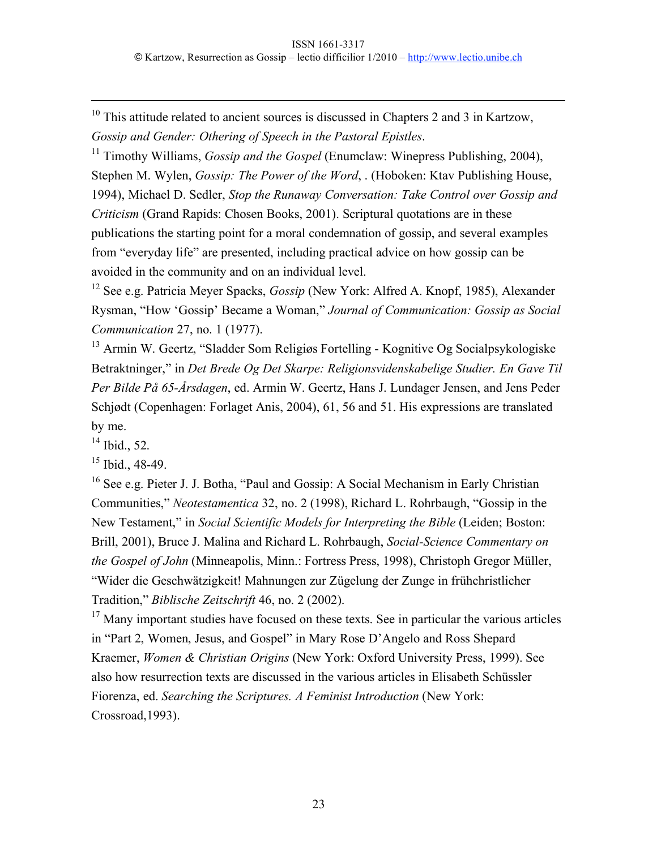$10$  This attitude related to ancient sources is discussed in Chapters 2 and 3 in Kartzow, *Gossip and Gender: Othering of Speech in the Pastoral Epistles*.

<sup>11</sup> Timothy Williams, *Gossip and the Gospel* (Enumclaw: Winepress Publishing, 2004), Stephen M. Wylen, *Gossip: The Power of the Word*, . (Hoboken: Ktav Publishing House, 1994), Michael D. Sedler, *Stop the Runaway Conversation: Take Control over Gossip and Criticism* (Grand Rapids: Chosen Books, 2001). Scriptural quotations are in these publications the starting point for a moral condemnation of gossip, and several examples from "everyday life" are presented, including practical advice on how gossip can be avoided in the community and on an individual level.

12 See e.g. Patricia Meyer Spacks, *Gossip* (New York: Alfred A. Knopf, 1985), Alexander Rysman, "How 'Gossip' Became a Woman," *Journal of Communication: Gossip as Social Communication* 27, no. 1 (1977).

<sup>13</sup> Armin W. Geertz, "Sladder Som Religiøs Fortelling - Kognitive Og Socialpsykologiske Betraktninger," in *Det Brede Og Det Skarpe: Religionsvidenskabelige Studier. En Gave Til Per Bilde På 65-Årsdagen*, ed. Armin W. Geertz, Hans J. Lundager Jensen, and Jens Peder Schjødt (Copenhagen: Forlaget Anis, 2004), 61, 56 and 51. His expressions are translated by me.

 $14$  Ibid., 52.

 $15$  Ibid., 48-49.

<sup>16</sup> See e.g. Pieter J. J. Botha, "Paul and Gossip: A Social Mechanism in Early Christian Communities," *Neotestamentica* 32, no. 2 (1998), Richard L. Rohrbaugh, "Gossip in the New Testament," in *Social Scientific Models for Interpreting the Bible* (Leiden; Boston: Brill, 2001), Bruce J. Malina and Richard L. Rohrbaugh, *Social-Science Commentary on the Gospel of John* (Minneapolis, Minn.: Fortress Press, 1998), Christoph Gregor Müller, "Wider die Geschwätzigkeit! Mahnungen zur Zügelung der Zunge in frühchristlicher Tradition," *Biblische Zeitschrift* 46, no. 2 (2002).

 $17$  Many important studies have focused on these texts. See in particular the various articles in "Part 2, Women, Jesus, and Gospel" in Mary Rose D'Angelo and Ross Shepard Kraemer, *Women & Christian Origins* (New York: Oxford University Press, 1999). See also how resurrection texts are discussed in the various articles in Elisabeth Schüssler Fiorenza, ed. *Searching the Scriptures. A Feminist Introduction* (New York: Crossroad,1993).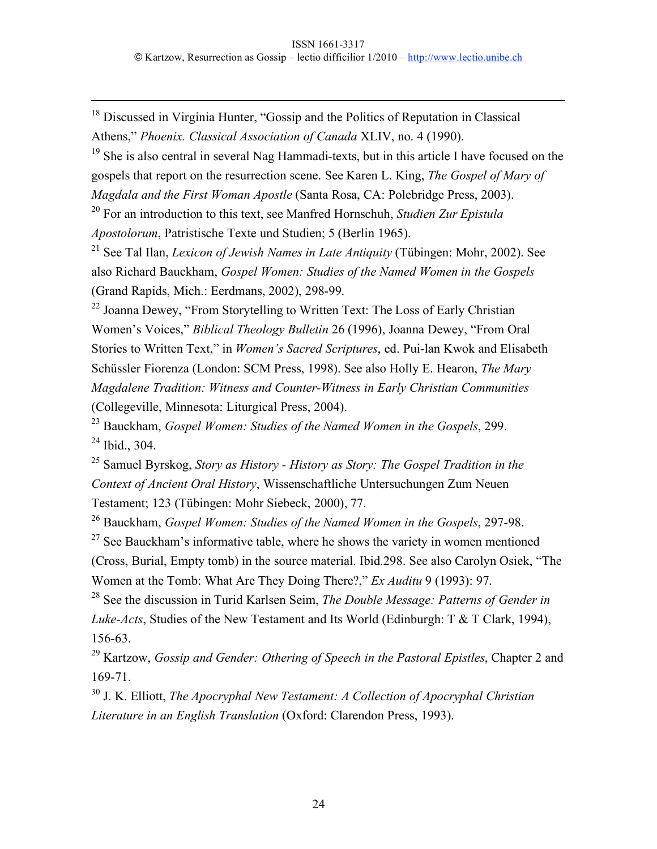<sup>18</sup> Discussed in Virginia Hunter, "Gossip and the Politics of Reputation in Classical Athens," *Phoenix. Classical Association of Canada* XLIV, no. 4 (1990).

 $19$  She is also central in several Nag Hammadi-texts, but in this article I have focused on the gospels that report on the resurrection scene. See Karen L. King, *The Gospel of Mary of Magdala and the First Woman Apostle* (Santa Rosa, CA: Polebridge Press, 2003).

20 For an introduction to this text, see Manfred Hornschuh, *Studien Zur Epistula Apostolorum*, Patristische Texte und Studien; 5 (Berlin 1965).

21 See Tal Ilan, *Lexicon of Jewish Names in Late Antiquity* (Tübingen: Mohr, 2002). See also Richard Bauckham, *Gospel Women: Studies of the Named Women in the Gospels* (Grand Rapids, Mich.: Eerdmans, 2002), 298-99.

<sup>22</sup> Joanna Dewey, "From Storytelling to Written Text: The Loss of Early Christian Women's Voices," *Biblical Theology Bulletin* 26 (1996), Joanna Dewey, "From Oral Stories to Written Text," in *Women's Sacred Scriptures*, ed. Pui-lan Kwok and Elisabeth Schüssler Fiorenza (London: SCM Press, 1998). See also Holly E. Hearon, *The Mary Magdalene Tradition: Witness and Counter-Witness in Early Christian Communities* (Collegeville, Minnesota: Liturgical Press, 2004).

<sup>23</sup> Bauckham, *Gospel Women: Studies of the Named Women in the Gospels*, 299.  $24$  Ibid., 304.

<sup>25</sup> Samuel Byrskog, *Story as History - History as Story: The Gospel Tradition in the Context of Ancient Oral History*, Wissenschaftliche Untersuchungen Zum Neuen Testament; 123 (Tübingen: Mohr Siebeck, 2000), 77.

<sup>26</sup> Bauckham, *Gospel Women: Studies of the Named Women in the Gospels*, 297-98.

 $27$  See Bauckham's informative table, where he shows the variety in women mentioned (Cross, Burial, Empty tomb) in the source material. Ibid.298. See also Carolyn Osiek, "The Women at the Tomb: What Are They Doing There?," *Ex Auditu* 9 (1993): 97.

28 See the discussion in Turid Karlsen Seim, *The Double Message: Patterns of Gender in Luke-Acts*, Studies of the New Testament and Its World (Edinburgh: T & T Clark, 1994), 156-63.

<sup>29</sup> Kartzow, *Gossip and Gender: Othering of Speech in the Pastoral Epistles*, Chapter 2 and 169-71.

<sup>30</sup> J. K. Elliott, *The Apocryphal New Testament: A Collection of Apocryphal Christian Literature in an English Translation* (Oxford: Clarendon Press, 1993).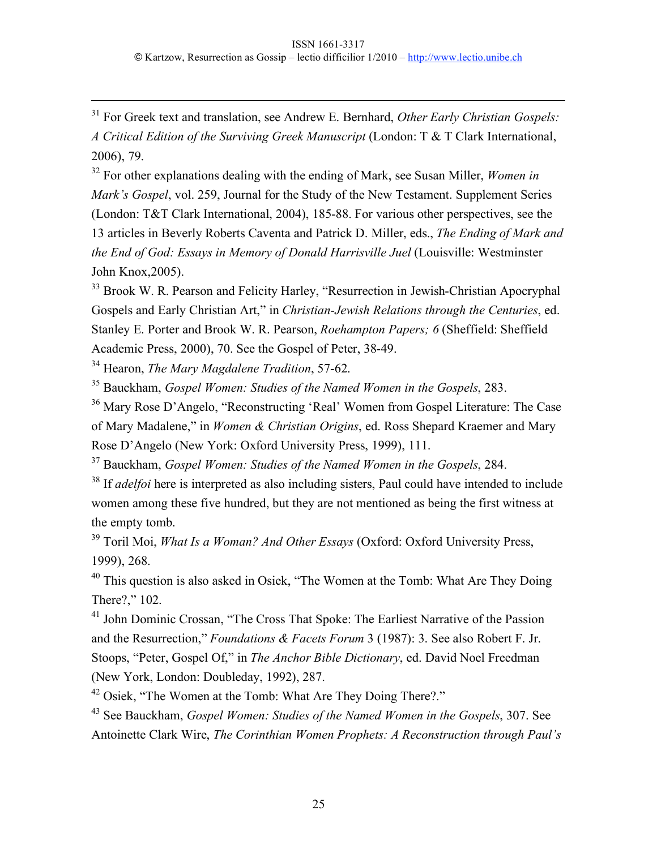31 For Greek text and translation, see Andrew E. Bernhard, *Other Early Christian Gospels: A Critical Edition of the Surviving Greek Manuscript* (London: T & T Clark International, 2006), 79.

32 For other explanations dealing with the ending of Mark, see Susan Miller, *Women in Mark's Gospel*, vol. 259, Journal for the Study of the New Testament. Supplement Series (London: T&T Clark International, 2004), 185-88. For various other perspectives, see the 13 articles in Beverly Roberts Caventa and Patrick D. Miller, eds., *The Ending of Mark and the End of God: Essays in Memory of Donald Harrisville Juel* (Louisville: Westminster John Knox,2005).

<sup>33</sup> Brook W. R. Pearson and Felicity Harley, "Resurrection in Jewish-Christian Apocryphal Gospels and Early Christian Art," in *Christian-Jewish Relations through the Centuries*, ed. Stanley E. Porter and Brook W. R. Pearson, *Roehampton Papers; 6* (Sheffield: Sheffield Academic Press, 2000), 70. See the Gospel of Peter, 38-49.

<sup>34</sup> Hearon, *The Mary Magdalene Tradition*, 57-62.

<sup>35</sup> Bauckham, *Gospel Women: Studies of the Named Women in the Gospels*, 283.

<sup>36</sup> Mary Rose D'Angelo, "Reconstructing 'Real' Women from Gospel Literature: The Case of Mary Madalene," in *Women & Christian Origins*, ed. Ross Shepard Kraemer and Mary Rose D'Angelo (New York: Oxford University Press, 1999), 111.

<sup>37</sup> Bauckham, *Gospel Women: Studies of the Named Women in the Gospels*, 284.

<sup>38</sup> If *adelfoi* here is interpreted as also including sisters, Paul could have intended to include women among these five hundred, but they are not mentioned as being the first witness at the empty tomb.

<sup>39</sup> Toril Moi, *What Is a Woman? And Other Essays* (Oxford: Oxford University Press, 1999), 268.

<sup>40</sup> This question is also asked in Osiek, "The Women at the Tomb: What Are They Doing There?," 102.

<sup>41</sup> John Dominic Crossan, "The Cross That Spoke: The Earliest Narrative of the Passion and the Resurrection," *Foundations & Facets Forum* 3 (1987): 3. See also Robert F. Jr. Stoops, "Peter, Gospel Of," in *The Anchor Bible Dictionary*, ed. David Noel Freedman (New York, London: Doubleday, 1992), 287.

<sup>42</sup> Osiek, "The Women at the Tomb: What Are They Doing There?."

43 See Bauckham, *Gospel Women: Studies of the Named Women in the Gospels*, 307. See Antoinette Clark Wire, *The Corinthian Women Prophets: A Reconstruction through Paul's*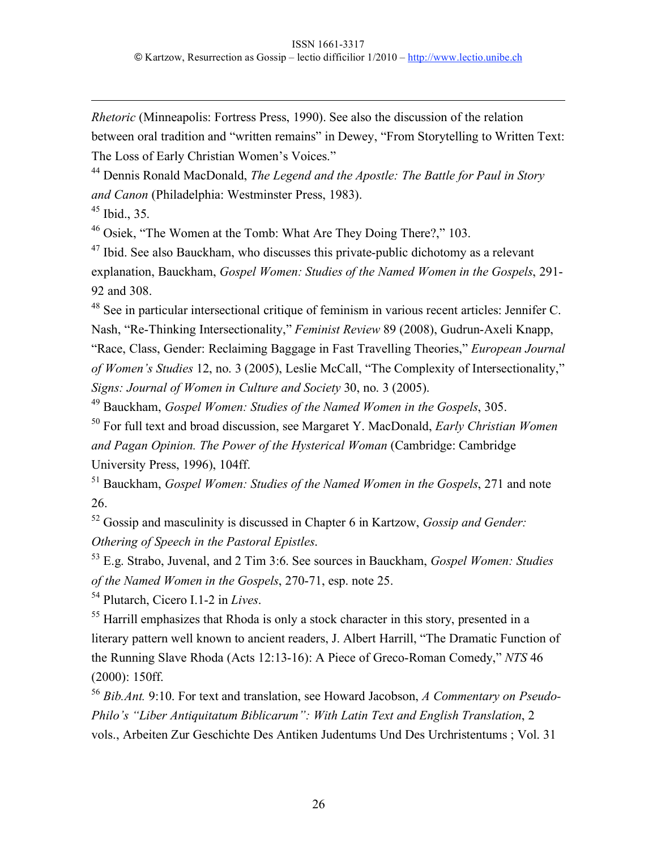*Rhetoric* (Minneapolis: Fortress Press, 1990). See also the discussion of the relation between oral tradition and "written remains" in Dewey, "From Storytelling to Written Text: The Loss of Early Christian Women's Voices."

<sup>44</sup> Dennis Ronald MacDonald, *The Legend and the Apostle: The Battle for Paul in Story and Canon* (Philadelphia: Westminster Press, 1983).

 $45$  Ibid., 35.

 $\overline{a}$ 

<sup>46</sup> Osiek, "The Women at the Tomb: What Are They Doing There?," 103.

<sup>47</sup> Ibid. See also Bauckham, who discusses this private-public dichotomy as a relevant explanation, Bauckham, *Gospel Women: Studies of the Named Women in the Gospels*, 291- 92 and 308.

48 See in particular intersectional critique of feminism in various recent articles: Jennifer C. Nash, "Re-Thinking Intersectionality," *Feminist Review* 89 (2008), Gudrun-Axeli Knapp, "Race, Class, Gender: Reclaiming Baggage in Fast Travelling Theories," *European Journal of Women's Studies* 12, no. 3 (2005), Leslie McCall, "The Complexity of Intersectionality," *Signs: Journal of Women in Culture and Society* 30, no. 3 (2005).

<sup>49</sup> Bauckham, *Gospel Women: Studies of the Named Women in the Gospels*, 305.

50 For full text and broad discussion, see Margaret Y. MacDonald, *Early Christian Women and Pagan Opinion. The Power of the Hysterical Woman* (Cambridge: Cambridge University Press, 1996), 104ff.

<sup>51</sup> Bauckham, *Gospel Women: Studies of the Named Women in the Gospels*, 271 and note 26.

52 Gossip and masculinity is discussed in Chapter 6 in Kartzow, *Gossip and Gender: Othering of Speech in the Pastoral Epistles*.

53 E.g. Strabo, Juvenal, and 2 Tim 3:6. See sources in Bauckham, *Gospel Women: Studies of the Named Women in the Gospels*, 270-71, esp. note 25.

54 Plutarch, Cicero I.1-2 in *Lives*.

<sup>55</sup> Harrill emphasizes that Rhoda is only a stock character in this story, presented in a literary pattern well known to ancient readers, J. Albert Harrill, "The Dramatic Function of the Running Slave Rhoda (Acts 12:13-16): A Piece of Greco-Roman Comedy," *NTS* 46 (2000): 150ff.

<sup>56</sup> *Bib.Ant.* 9:10. For text and translation, see Howard Jacobson, *A Commentary on Pseudo-Philo's "Liber Antiquitatum Biblicarum": With Latin Text and English Translation*, 2 vols., Arbeiten Zur Geschichte Des Antiken Judentums Und Des Urchristentums ; Vol. 31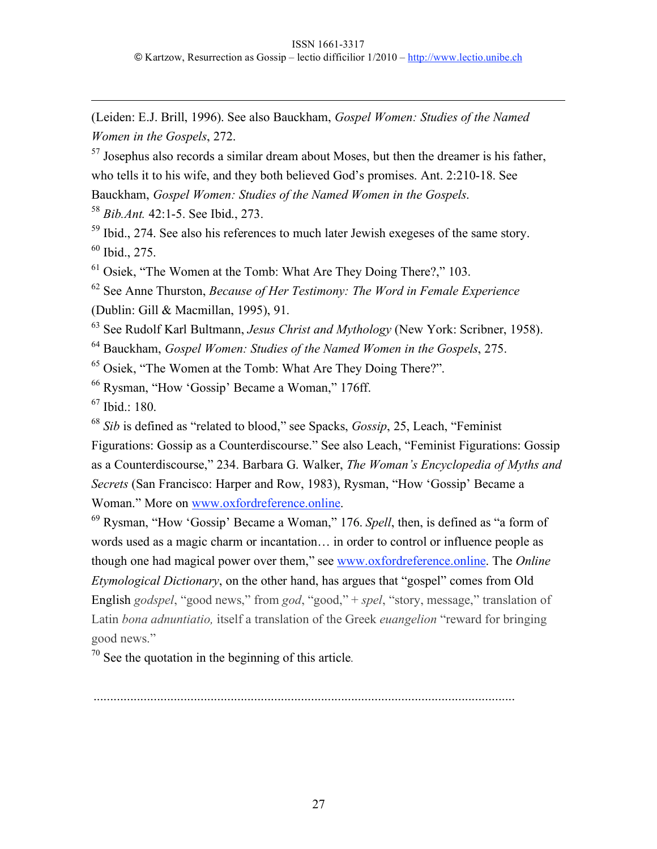(Leiden: E.J. Brill, 1996). See also Bauckham, *Gospel Women: Studies of the Named Women in the Gospels*, 272.

 $57$  Josephus also records a similar dream about Moses, but then the dreamer is his father, who tells it to his wife, and they both believed God's promises. Ant. 2:210-18. See Bauckham, *Gospel Women: Studies of the Named Women in the Gospels*.

<sup>58</sup> *Bib.Ant.* 42:1-5. See Ibid., 273.

<sup>59</sup> Ibid., 274. See also his references to much later Jewish exegeses of the same story.  $60$  Ibid., 275.

 $61$  Osiek, "The Women at the Tomb: What Are They Doing There?," 103.

62 See Anne Thurston, *Because of Her Testimony: The Word in Female Experience* (Dublin: Gill & Macmillan, 1995), 91.

63 See Rudolf Karl Bultmann, *Jesus Christ and Mythology* (New York: Scribner, 1958).

<sup>64</sup> Bauckham, *Gospel Women: Studies of the Named Women in the Gospels*, 275.

<sup>65</sup> Osiek, "The Women at the Tomb: What Are They Doing There?".

<sup>66</sup> Rysman, "How 'Gossip' Became a Woman," 176ff.

 $67$  Ibid.: 180.

 $\overline{a}$ 

<sup>68</sup> *Sib* is defined as "related to blood," see Spacks, *Gossip*, 25, Leach, "Feminist Figurations: Gossip as a Counterdiscourse." See also Leach, "Feminist Figurations: Gossip as a Counterdiscourse," 234. Barbara G. Walker, *The Woman's Encyclopedia of Myths and Secrets* (San Francisco: Harper and Row, 1983), Rysman, "How 'Gossip' Became a Woman." More on www.oxfordreference.online.

<sup>69</sup> Rysman, "How 'Gossip' Became a Woman," 176. *Spell*, then, is defined as "a form of words used as a magic charm or incantation… in order to control or influence people as though one had magical power over them," see www.oxfordreference.online. The *Online Etymological Dictionary*, on the other hand, has argues that "gospel" comes from Old English *godspel*, "good news," from *god*, "good," + *spel*, "story, message," translation of Latin *bona adnuntiatio,* itself a translation of the Greek *euangelion* "reward for bringing good news."

 $70$  See the quotation in the beginning of this article.

..............................................................................................................................